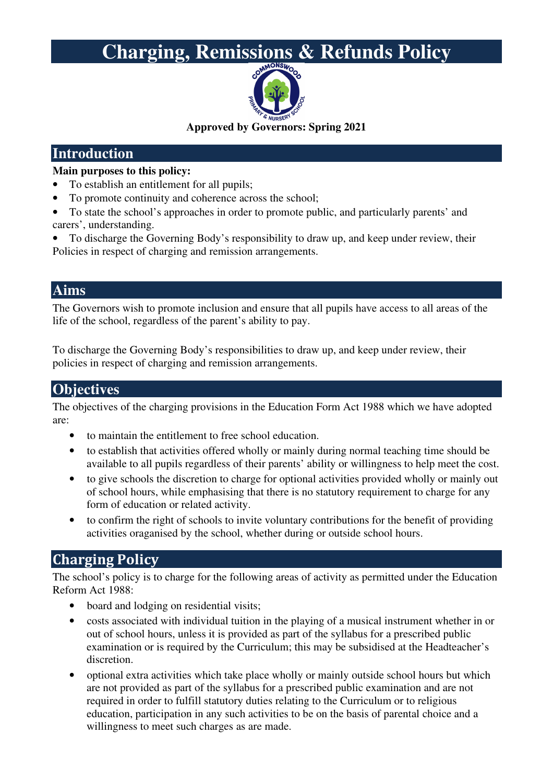# **Charging, Remissions & Refunds Policy**



**Approved by Governors: Spring 2021** 

### **Introduction**

#### **Main purposes to this policy:**

- To establish an entitlement for all pupils;
- To promote continuity and coherence across the school;
- To state the school's approaches in order to promote public, and particularly parents' and carers', understanding.
- To discharge the Governing Body's responsibility to draw up, and keep under review, their Policies in respect of charging and remission arrangements.

#### **Aims**

The Governors wish to promote inclusion and ensure that all pupils have access to all areas of the life of the school, regardless of the parent's ability to pay.

To discharge the Governing Body's responsibilities to draw up, and keep under review, their policies in respect of charging and remission arrangements.

#### **Objectives**

The objectives of the charging provisions in the Education Form Act 1988 which we have adopted are:

- to maintain the entitlement to free school education.
- to establish that activities offered wholly or mainly during normal teaching time should be available to all pupils regardless of their parents' ability or willingness to help meet the cost.
- to give schools the discretion to charge for optional activities provided wholly or mainly out of school hours, while emphasising that there is no statutory requirement to charge for any form of education or related activity.
- to confirm the right of schools to invite voluntary contributions for the benefit of providing activities oraganised by the school, whether during or outside school hours.

## **Charging Policy**

The school's policy is to charge for the following areas of activity as permitted under the Education Reform Act 1988:

- board and lodging on residential visits;
- costs associated with individual tuition in the playing of a musical instrument whether in or out of school hours, unless it is provided as part of the syllabus for a prescribed public examination or is required by the Curriculum; this may be subsidised at the Headteacher's discretion.
- optional extra activities which take place wholly or mainly outside school hours but which are not provided as part of the syllabus for a prescribed public examination and are not required in order to fulfill statutory duties relating to the Curriculum or to religious education, participation in any such activities to be on the basis of parental choice and a willingness to meet such charges as are made.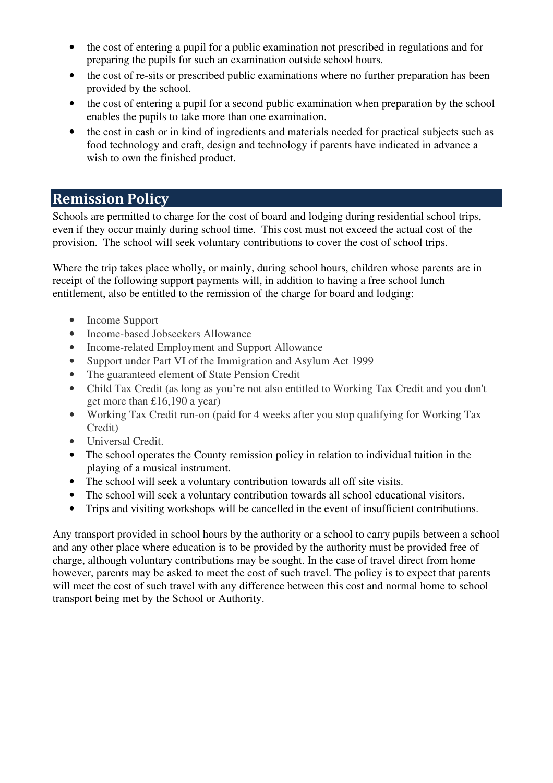- the cost of entering a pupil for a public examination not prescribed in regulations and for preparing the pupils for such an examination outside school hours.
- the cost of re-sits or prescribed public examinations where no further preparation has been provided by the school.
- the cost of entering a pupil for a second public examination when preparation by the school enables the pupils to take more than one examination.
- the cost in cash or in kind of ingredients and materials needed for practical subjects such as food technology and craft, design and technology if parents have indicated in advance a wish to own the finished product.

## **Remission Policy**

Schools are permitted to charge for the cost of board and lodging during residential school trips, even if they occur mainly during school time. This cost must not exceed the actual cost of the provision. The school will seek voluntary contributions to cover the cost of school trips.

Where the trip takes place wholly, or mainly, during school hours, children whose parents are in receipt of the following support payments will, in addition to having a free school lunch entitlement, also be entitled to the remission of the charge for board and lodging:

- Income Support
- Income-based Jobseekers Allowance
- Income-related Employment and Support Allowance
- Support under Part VI of the Immigration and Asylum Act 1999
- The guaranteed element of State Pension Credit
- Child Tax Credit (as long as you're not also entitled to Working Tax Credit and you don't get more than £16,190 a year)
- Working Tax Credit run-on (paid for 4 weeks after you stop qualifying for Working Tax Credit)
- Universal Credit.
- The school operates the County remission policy in relation to individual tuition in the playing of a musical instrument.
- The school will seek a voluntary contribution towards all off site visits.
- The school will seek a voluntary contribution towards all school educational visitors.
- Trips and visiting workshops will be cancelled in the event of insufficient contributions.

Any transport provided in school hours by the authority or a school to carry pupils between a school and any other place where education is to be provided by the authority must be provided free of charge, although voluntary contributions may be sought. In the case of travel direct from home however, parents may be asked to meet the cost of such travel. The policy is to expect that parents will meet the cost of such travel with any difference between this cost and normal home to school transport being met by the School or Authority.